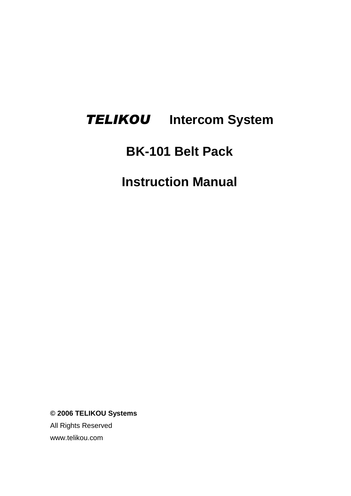# *TELIKOU* **Intercom System**

## **BK-101 Belt Pack**

**Instruction Manual**

**© 2006 TELIKOU Systems**

All Rights Reserved www.telikou.com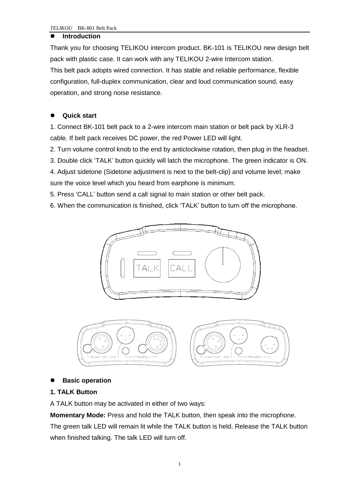#### **Introduction**

Thank you for choosing TELIKOU intercom product. BK-101 is TELIKOU new design belt pack with plastic case. It can work with any TELIKOU 2-wire Intercom station. This belt pack adopts wired connection. It has stable and reliable performance, flexible configuration, full-duplex communication, clear and loud communication sound, easy operation, and strong noise resistance.

## **Quick start**

1. Connect BK-101 belt pack to a 2-wire intercom main station or belt pack by XLR-3 cable. If belt pack receives DC power, the red Power LED will light.

2. Turn volume control knob to the end by anticlockwise rotation, then plug in the headset.

3. Double click 'TALK' button quickly will latch the microphone. The green indicator is ON.

4. Adjust sidetone (Sidetone adjustment is next to the belt-clip) and volume level; make sure the voice level which you heard from earphone is minimum.

5. Press 'CALL' button send a call signal to main station or other belt pack.

6. When the communication is finished, click 'TALK' button to turn off the microphone.





## **Basic operation**

## **1. TALK Button**

A TALK button may be activated in either of two ways:

**Momentary Mode:** Press and hold the TALK button, then speak into the microphone.

The green talk LED will remain lit while the TALK button is held. Release the TALK button when finished talking. The talk LED will turn off.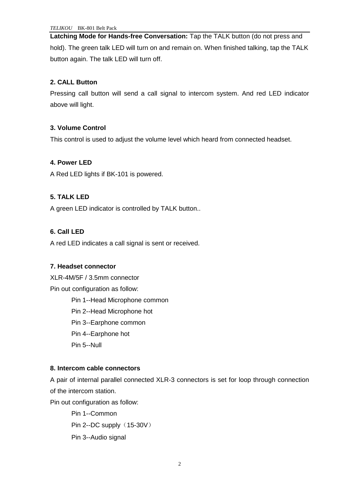**Latching Mode for Hands-free Conversation:** Tap the TALK button (do not press and hold). The green talk LED will turn on and remain on. When finished talking, tap the TALK button again. The talk LED will turn off.

## **2. CALL Button**

Pressing call button will send a call signal to intercom system. And red LED indicator above will light.

## **3. Volume Control**

This control is used to adjust the volume level which heard from connected headset.

## **4. Power LED**

A Red LED lights if BK-101 is powered.

## **5. TALK LED**

A green LED indicator is controlled by TALK button..

## **6. Call LED**

A red LED indicates a call signal is sent or received.

## **7. Headset connector**

XLR-4M/5F / 3.5mm connector Pin out configuration as follow:

> Pin 1--Head Microphone common Pin 2--Head Microphone hot Pin 3--Earphone common Pin 4--Earphone hot Pin 5--Null

## **8. Intercom cable connectors**

A pair of internal parallel connected XLR-3 connectors is set for loop through connection of the intercom station.

Pin out configuration as follow:

Pin 1--Common Pin 2--DC supply (15-30V) Pin 3--Audio signal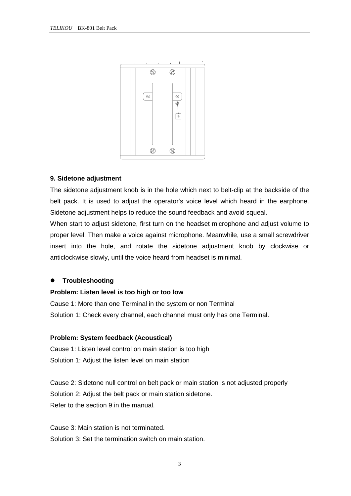

#### **9. Sidetone adjustment**

The sidetone adjustment knob is in the hole which next to belt-clip at the backside of the belt pack. It is used to adjust the operator's voice level which heard in the earphone. Sidetone adjustment helps to reduce the sound feedback and avoid squeal.

When start to adjust sidetone, first turn on the headset microphone and adjust volume to proper level. Then make a voice against microphone. Meanwhile, use a small screwdriver insert into the hole, and rotate the sidetone adjustment knob by clockwise or anticlockwise slowly, until the voice heard from headset is minimal.

#### **Troubleshooting**

#### **Problem: Listen level is too high or too low**

Cause 1: More than one Terminal in the system or non Terminal Solution 1: Check every channel, each channel must only has one Terminal.

#### **Problem: System feedback (Acoustical)**

Cause 1: Listen level control on main station is too high Solution 1: Adjust the listen level on main station

Cause 2: Sidetone null control on belt pack or main station is not adjusted properly Solution 2: Adjust the belt pack or main station sidetone. Refer to the section 9 in the manual.

Cause 3: Main station is not terminated. Solution 3: Set the termination switch on main station.